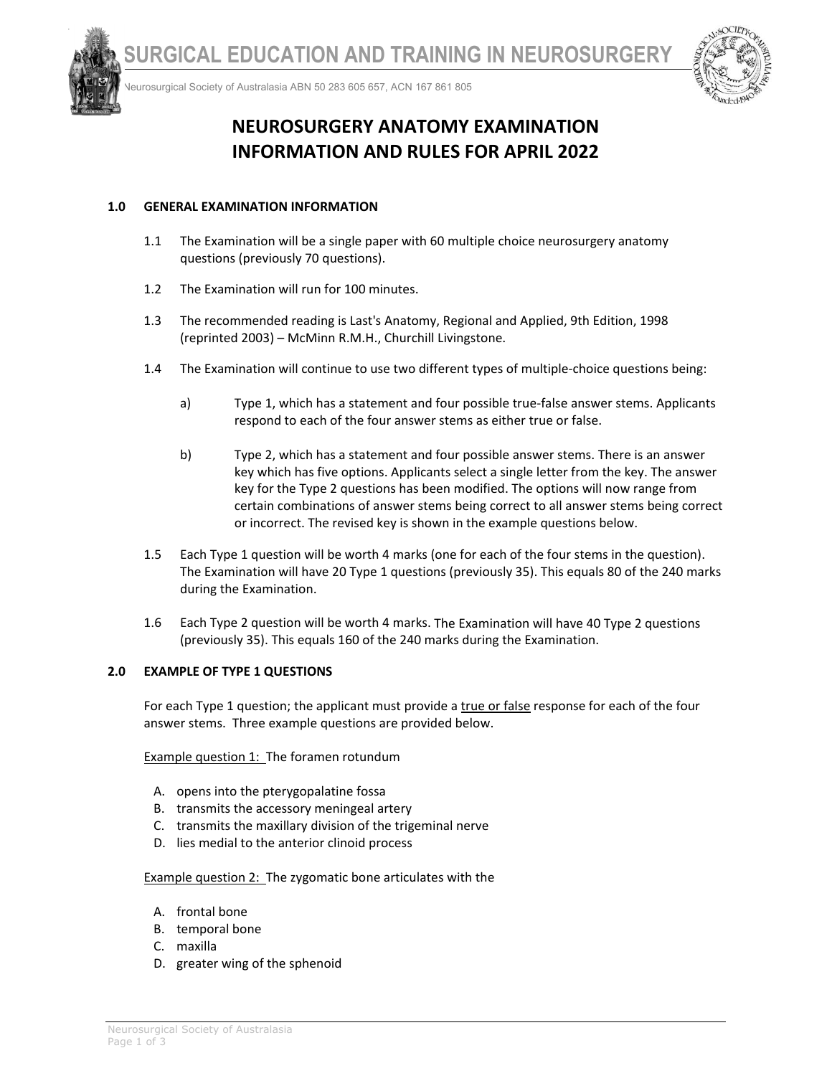



Neurosurgical Society of Australasia ABN 50 283 605 657, ACN 167 861 805



# **NEUROSURGERY ANATOMY EXAMINATION INFORMATION AND RULES FOR APRIL 2022**

# **1.0 GENERAL EXAMINATION INFORMATION**

- 1.1 The Examination will be a single paper with 60 multiple choice neurosurgery anatomy questions (previously 70 questions).
- 1.2 The Examination will run for 100 minutes.
- 1.3 The recommended reading is Last's Anatomy, Regional and Applied, 9th Edition, 1998 (reprinted 2003) – McMinn R.M.H., Churchill Livingstone.
- 1.4 The Examination will continue to use two different types of multiple‐choice questions being:
	- a) Type 1, which has a statement and four possible true-false answer stems. Applicants respond to each of the four answer stems as either true or false.
	- b) Type 2, which has a statement and four possible answer stems. There is an answer key which has five options. Applicants select a single letter from the key. The answer key for the Type 2 questions has been modified. The options will now range from certain combinations of answer stems being correct to all answer stems being correct or incorrect. The revised key is shown in the example questions below.
- 1.5 Each Type 1 question will be worth 4 marks (one for each of the four stems in the question). The Examination will have 20 Type 1 questions (previously 35). This equals 80 of the 240 marks during the Examination.
- 1.6 Each Type 2 question will be worth 4 marks. The Examination will have 40 Type 2 questions (previously 35). This equals 160 of the 240 marks during the Examination.

### **2.0 EXAMPLE OF TYPE 1 QUESTIONS**

For each Type 1 question; the applicant must provide a true or false response for each of the four answer stems. Three example questions are provided below.

Example question 1: The foramen rotundum

- A. opens into the pterygopalatine fossa
- B. transmits the accessory meningeal artery
- C. transmits the maxillary division of the trigeminal nerve
- D. lies medial to the anterior clinoid process

Example question 2: The zygomatic bone articulates with the

- A. frontal bone
- B. temporal bone
- C. maxilla
- D. greater wing of the sphenoid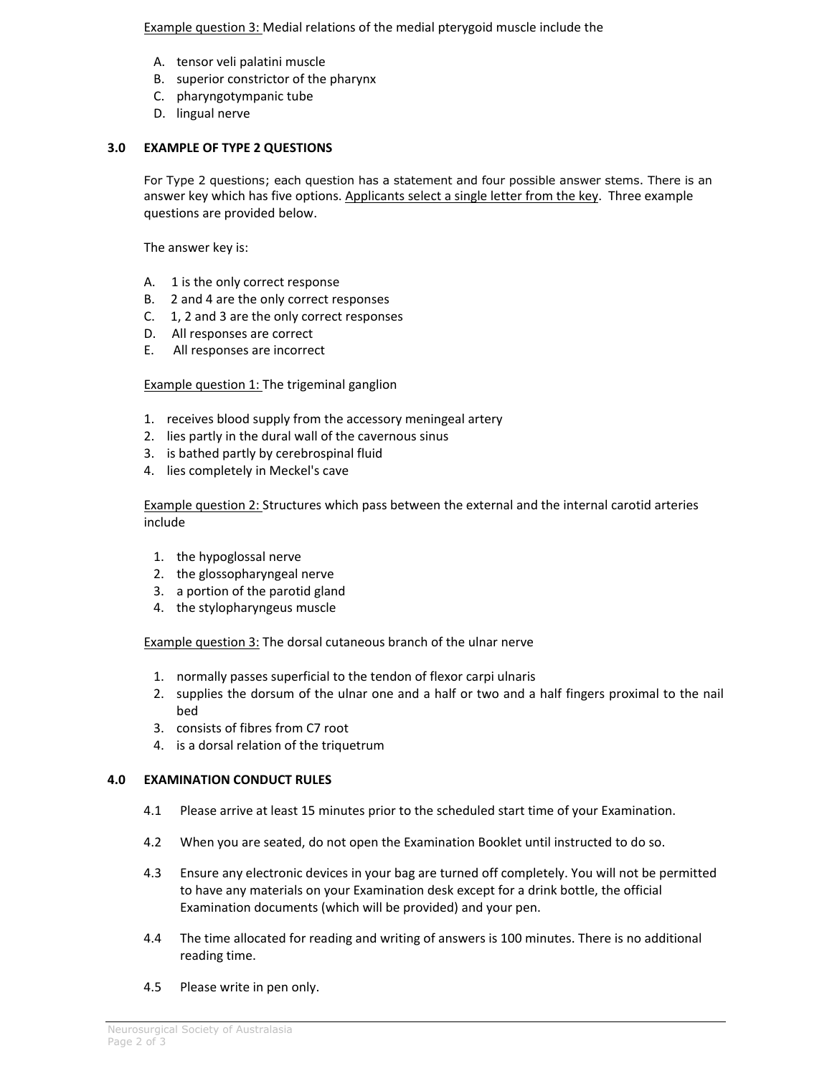Example question 3: Medial relations of the medial pterygoid muscle include the

- A. tensor veli palatini muscle
- B. superior constrictor of the pharynx
- C. pharyngotympanic tube
- D. lingual nerve

# **3.0 EXAMPLE OF TYPE 2 QUESTIONS**

For Type 2 questions; each question has a statement and four possible answer stems. There is an answer key which has five options. Applicants select a single letter from the key. Three example questions are provided below.

The answer key is:

- A. 1 is the only correct response
- B. 2 and 4 are the only correct responses
- C. 1, 2 and 3 are the only correct responses
- D. All responses are correct
- E. All responses are incorrect

**Example question 1: The trigeminal ganglion** 

- 1. receives blood supply from the accessory meningeal artery
- 2. lies partly in the dural wall of the cavernous sinus
- 3. is bathed partly by cerebrospinal fluid
- 4. lies completely in Meckel's cave

Example question 2: Structures which pass between the external and the internal carotid arteries include

- 1. the hypoglossal nerve
- 2. the glossopharyngeal nerve
- 3. a portion of the parotid gland
- 4. the stylopharyngeus muscle

Example question 3: The dorsal cutaneous branch of the ulnar nerve

- 1. normally passes superficial to the tendon of flexor carpi ulnaris
- 2. supplies the dorsum of the ulnar one and a half or two and a half fingers proximal to the nail bed
- 3. consists of fibres from C7 root
- 4. is a dorsal relation of the triquetrum

### **4.0 EXAMINATION CONDUCT RULES**

- 4.1 Please arrive at least 15 minutes prior to the scheduled start time of your Examination.
- 4.2 When you are seated, do not open the Examination Booklet until instructed to do so.
- 4.3 Ensure any electronic devices in your bag are turned off completely. You will not be permitted to have any materials on your Examination desk except for a drink bottle, the official Examination documents (which will be provided) and your pen.
- 4.4 The time allocated for reading and writing of answers is 100 minutes. There is no additional reading time.
- 4.5 Please write in pen only.